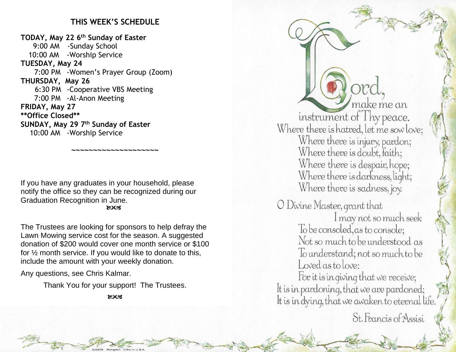## **THIS WEEK'S SCHEDULE**

**TODAY, May 22 6 th Sunday of Easter** 9:00 AM -Sunday School 10:00 AM -Worship Service **TUESDAY, May 24** 7:00 PM -Women's Prayer Group (Zoom) **THURSDAY, May 26** 6:30 PM -Cooperative VBS Meeting 7:00 PM -Al-Anon Meeting **FRIDAY, May 27 \*\*Office Closed\*\* SUNDAY, May 29 7 th Sunday of Easter** 10:00 AM -Worship Service

If you have any graduates in your household, please notify the office so they can be recognized during our Graduation Recognition in June. **ROCA** 

**~~~~~~~~~~~~~~~~~~~~**

The Trustees are looking for sponsors to help defray the Lawn Mowing service cost for the season. A suggested donation of \$200 would cover one month service or \$100 for ½ month service. If you would like to donate to this, include the amount with your weekly donation.

Any questions, see Chris Kalmar.

Thank You for your support! The Trustees.

ುಂತ

make me an instrument of Thy peace.<br>Where there is hatred, let me sow love; Where there is injury, pardon; Where there is doubt, faith; Where there is despair, hope; Where there is darkness, light; Where there is sadness, joy. O Divine Master, grant that I may not so much seek<br>To be consoled, as to console;

Not so much to be understood as To understand; not so much to be Loved as to love:

For it is in giving that we receive; It is in pardoning, that we are pardoned; It is in dying, that we awaken to eternal life.

St. Francis of Assisi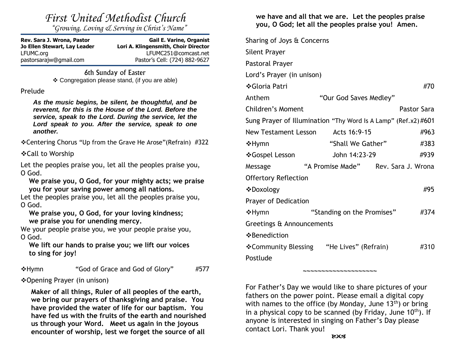*"Growing, Loving & Serving in Christ's Name"*

Rev. Sara J. Wrona, Pastor **Gail E. Varine, Organist Jo Ellen Stewart, Lay Leader Lori A. Klingensmith, Choir Director** LFUMC.org LFUMC251@comcast.net pastorsarajw@gmail.com Pastor's Cell: (724) 882-9627

> 6th Sunday of Easter ❖ Congregation please stand, (if you are able)

### Prelude

*As the music begins, be silent, be thoughtful, and be reverent, for this is the House of the Lord. Before the service, speak to the Lord. During the service, let the Lord speak to you. After the service, speak to one another.*

❖Centering Chorus "Up from the Grave He Arose"(Refrain) #322

❖Call to Worship

Let the peoples praise you, let all the peoples praise you, O God.

**We praise you, O God, for your mighty acts; we praise you for your saving power among all nations.**

Let the peoples praise you, let all the peoples praise you, O God.

**We praise you, O God, for your loving kindness; we praise you for unending mercy.**

We your people praise you, we your people praise you, O God.

**We lift our hands to praise you; we lift our voices to sing for joy!**

❖Hymn "God of Grace and God of Glory" #577

❖Opening Prayer (in unison)

**Maker of all things, Ruler of all peoples of the earth, we bring our prayers of thanksgiving and praise. You have provided the water of life for our baptism. You have fed us with the fruits of the earth and nourished us through your Word. Meet us again in the joyous encounter of worship, lest we forget the source of all** 

**we have and all that we are. Let the peoples praise you, O God; let all the peoples praise you! Amen.**

Sharing of Joys & Concerns Silent Prayer Pastoral Prayer Lord's Prayer (in unison) ❖Gloria Patri #70 Anthem "Our God Saves Medley" Children's Moment **Pastor Sara** Sung Prayer of Illumination "Thy Word Is A Lamp" (Ref.x2) #601 New Testament Lesson Acts 16:9-15  $\#963$ **❖Hymn** "Shall We Gather" #383 ❖Gospel Lesson John 14:23-29 #939 Message "A Promise Made" Rev. Sara J. Wrona Offertory Reflection ❖Doxology #95 Prayer of Dedication ❖Hymn "Standing on the Promises" #374 Greetings & Announcements ❖Benediction ❖Community Blessing "He Lives" (Refrain) #310 Postlude

For Father's Day we would like to share pictures of your fathers on the power point. Please email a digital copy with names to the office (by Monday, June  $13<sup>th</sup>$ ) or bring in a physical copy to be scanned (by Friday, June  $10<sup>th</sup>$ ). If anyone is interested in singing on Father's Day please contact Lori. Thank you!

**~~~~~~~~~~~~~~~~~~~~**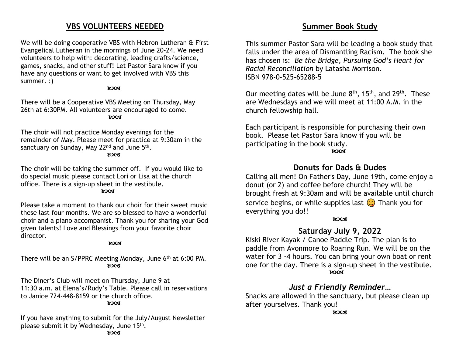## **VBS VOLUNTEERS NEEDED**

We will be doing cooperative VBS with Hebron Lutheran & First Evangelical Lutheran in the mornings of June 20-24. We need volunteers to help with: decorating, leading crafts/science, games, snacks, and other stuff! Let Pastor Sara know if you have any questions or want to get involved with VBS this summer. :)

### **ROCK**

There will be a Cooperative VBS Meeting on Thursday, May 26th at 6:30PM. All volunteers are encouraged to come. **ROCS** 

The choir will not practice Monday evenings for the remainder of May. Please meet for practice at 9:30am in the sanctuary on Sunday, May 22<sup>nd</sup> and June 5<sup>th</sup>. **ROCS** 

The choir will be taking the summer off. If you would like to do special music please contact Lori or Lisa at the church office. There is a sign-up sheet in the vestibule.

 $X^{\alpha}$ 

Please take a moment to thank our choir for their sweet music these last four months. We are so blessed to have a wonderful choir and a piano accompanist. Thank you for sharing your God given talents! Love and Blessings from your favorite choir director.

### ುಂತ

There will be an S/PPRC Meeting Monday, June 6th at 6:00 PM. **ROCK** 

The Diner's Club will meet on Thursday, June 9 at 11:30 a.m. at Elena's/Rudy's Table. Please call in reservations to Janice 724-448-8159 or the church office.

### **ROCK**

If you have anything to submit for the July/August Newsletter please submit it by Wednesday, June 15<sup>th</sup>.

This summer Pastor Sara will be leading a book study that falls under the area of Dismantling Racism. The book she has chosen is: *Be the Bridge, Pursuing God's Heart for Racial Reconciliation* by Latasha Morrison. ISBN 978-0-525-65288-5

Our meeting dates will be June  $8<sup>th</sup>$ , 15<sup>th</sup>, and 29<sup>th</sup>. These are Wednesdays and we will meet at 11:00 A.M. in the church fellowship hall.

Each participant is responsible for purchasing their own book. Please let Pastor Sara know if you will be participating in the book study. **ROCK** 

## **Donuts for Dads & Dudes**

Calling all men! On Father's Day, June 19th, come enjoy a donut (or 2) and coffee before church! They will be brought fresh at 9:30am and will be available until church service begins, or while supplies last  $\odot$  Thank you for everything you do!!

### ುಂತ

## **Saturday July 9, 2022**

Kiski River Kayak / Canoe Paddle Trip. The plan is to paddle from Avonmore to Roaring Run. We will be on the water for 3 -4 hours. You can bring your own boat or rent one for the day. There is a sign-up sheet in the vestibule. **ROCS** 

## *Just a Friendly Reminder…*

Snacks are allowed in the sanctuary, but please clean up after yourselves. Thank you!

**ROCS**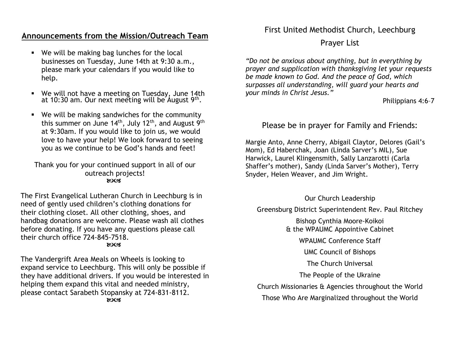# **Announcements from the Mission/Outreach Team**

- We will be making bag lunches for the local businesses on Tuesday, June 14th at 9:30 a.m., please mark your calendars if you would like to help.
- We will not have a meeting on Tuesday, June 14th at 10:30 am. Our next meeting will be August 9th.
- We will be making sandwiches for the community this summer on June  $14<sup>th</sup>$ , July  $12<sup>th</sup>$ , and August  $9<sup>th</sup>$ at 9:30am. If you would like to join us, we would love to have your help! We look forward to seeing you as we continue to be God's hands and feet!

Thank you for your continued support in all of our outreach projects! **ROCS** 

The First Evangelical Lutheran Church in Leechburg is in need of gently used children's clothing donations for their clothing closet. All other clothing, shoes, and handbag donations are welcome. Please wash all clothes before donating. If you have any questions please call their church office 724-845-7518. **ROCK** 

The Vandergrift Area Meals on Wheels is looking to expand service to Leechburg. This will only be possible if they have additional drivers. If you would be interested in helping them expand this vital and needed ministry, please contact Sarabeth Stopansky at 724-831-8112. **ROCS** 

First United Methodist Church, Leechburg

Prayer List

*"Do not be anxious about anything, but in everything by prayer and supplication with thanksgiving let your requests be made known to God. And the peace of God, which surpasses all understanding, will guard your hearts and your minds in Christ Jesus."*

Philippians 4:6–7

Please be in prayer for Family and Friends:

Margie Anto, Anne Cherry, Abigail Claytor, Delores (Gail's Mom), Ed Haberchak, Joan (Linda Sarver's MIL), Sue Harwick, Laurel Klingensmith, Sally Lanzarotti (Carla Shaffer's mother), Sandy (Linda Sarver's Mother), Terry Snyder, Helen Weaver, and Jim Wright.

Our Church Leadership

Greensburg District Superintendent Rev. Paul Ritchey

Bishop Cynthia Moore-Koikoi & the WPAUMC Appointive Cabinet

WPAUMC Conference Staff

UMC Council of Bishops

The Church Universal

The People of the Ukraine

Church Missionaries & Agencies throughout the World

Those Who Are Marginalized throughout the World